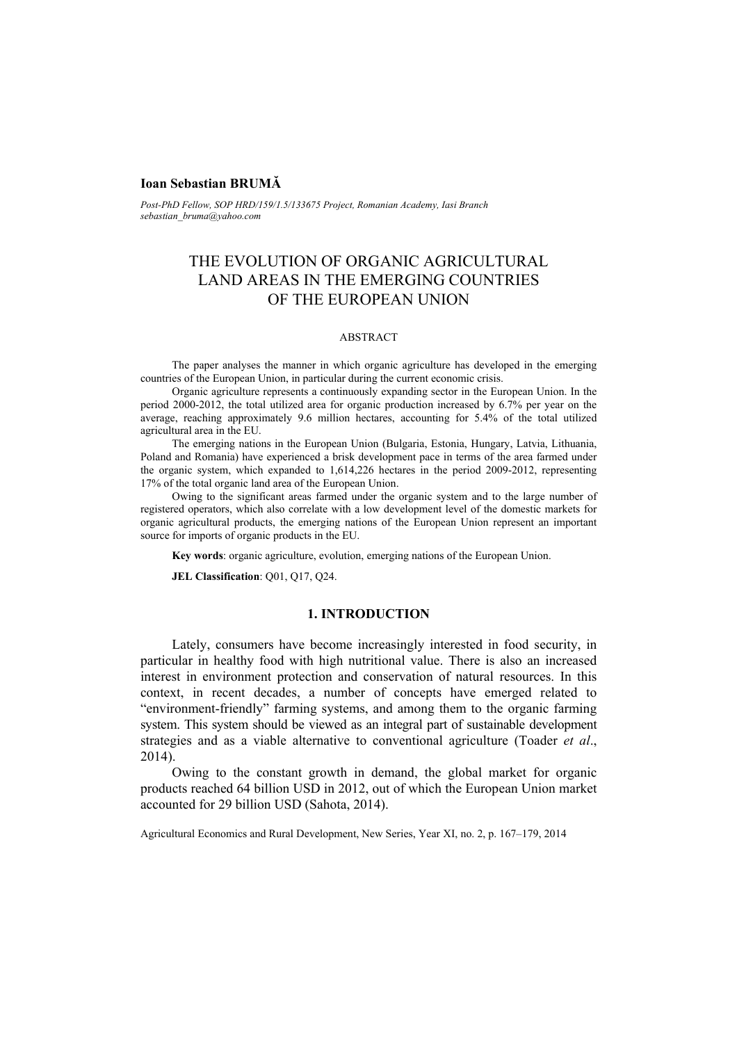# **Ioan Sebastian BRUMĂ**

*Post-PhD Fellow, SOP HRD/159/1.5/133675 Project, Romanian Academy, Iasi Branch sebastian\_bruma@yahoo.com*

# THE EVOLUTION OF ORGANIC AGRICULTURAL LAND AREAS IN THE EMERGING COUNTRIES OF THE EUROPEAN UNION

#### ABSTRACT

The paper analyses the manner in which organic agriculture has developed in the emerging countries of the European Union, in particular during the current economic crisis.

Organic agriculture represents a continuously expanding sector in the European Union. In the period 2000-2012, the total utilized area for organic production increased by 6.7% per year on the average, reaching approximately 9.6 million hectares, accounting for 5.4% of the total utilized agricultural area in the EU.

The emerging nations in the European Union (Bulgaria, Estonia, Hungary, Latvia, Lithuania, Poland and Romania) have experienced a brisk development pace in terms of the area farmed under the organic system, which expanded to 1,614,226 hectares in the period 2009-2012, representing 17% of the total organic land area of the European Union.

Owing to the significant areas farmed under the organic system and to the large number of registered operators, which also correlate with a low development level of the domestic markets for organic agricultural products, the emerging nations of the European Union represent an important source for imports of organic products in the EU.

**Key words**: organic agriculture, evolution, emerging nations of the European Union.

**JEL Classification**: Q01, Q17, Q24.

# **1. INTRODUCTION**

Lately, consumers have become increasingly interested in food security, in particular in healthy food with high nutritional value. There is also an increased interest in environment protection and conservation of natural resources. In this context, in recent decades, a number of concepts have emerged related to "environment-friendly" farming systems, and among them to the organic farming system. This system should be viewed as an integral part of sustainable development strategies and as a viable alternative to conventional agriculture (Toader *et al*., 2014).

Owing to the constant growth in demand, the global market for organic products reached 64 billion USD in 2012, out of which the European Union market accounted for 29 billion USD (Sahota, 2014).

Agricultural Economics and Rural Development, New Series, Year XI, no. 2, p. 167–179, 2014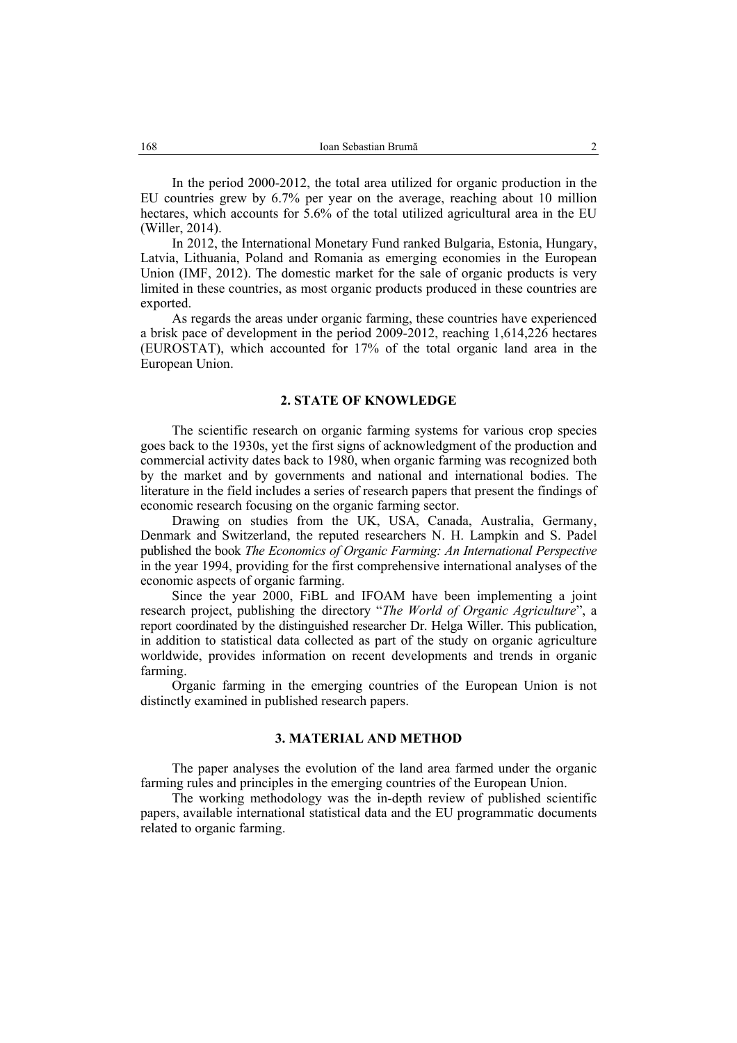In the period 2000-2012, the total area utilized for organic production in the EU countries grew by 6.7% per year on the average, reaching about 10 million hectares, which accounts for 5.6% of the total utilized agricultural area in the EU (Willer, 2014).

In 2012, the International Monetary Fund ranked Bulgaria, Estonia, Hungary, Latvia, Lithuania, Poland and Romania as emerging economies in the European Union (IMF, 2012). The domestic market for the sale of organic products is very limited in these countries, as most organic products produced in these countries are exported.

As regards the areas under organic farming, these countries have experienced a brisk pace of development in the period 2009-2012, reaching 1,614,226 hectares (EUROSTAT), which accounted for 17% of the total organic land area in the European Union.

## **2. STATE OF KNOWLEDGE**

The scientific research on organic farming systems for various crop species goes back to the 1930s, yet the first signs of acknowledgment of the production and commercial activity dates back to 1980, when organic farming was recognized both by the market and by governments and national and international bodies. The literature in the field includes a series of research papers that present the findings of economic research focusing on the organic farming sector.

Drawing on studies from the UK, USA, Canada, Australia, Germany, Denmark and Switzerland, the reputed researchers N. H. Lampkin and S. Padel published the book *The Economics of Organic Farming: An International Perspective* in the year 1994, providing for the first comprehensive international analyses of the economic aspects of organic farming.

Since the year 2000, FiBL and IFOAM have been implementing a joint research project, publishing the directory "*The World of Organic Agriculture*", a report coordinated by the distinguished researcher Dr. Helga Willer. This publication, in addition to statistical data collected as part of the study on organic agriculture worldwide, provides information on recent developments and trends in organic farming.

Organic farming in the emerging countries of the European Union is not distinctly examined in published research papers.

## **3. MATERIAL AND METHOD**

The paper analyses the evolution of the land area farmed under the organic farming rules and principles in the emerging countries of the European Union.

The working methodology was the in-depth review of published scientific papers, available international statistical data and the EU programmatic documents related to organic farming.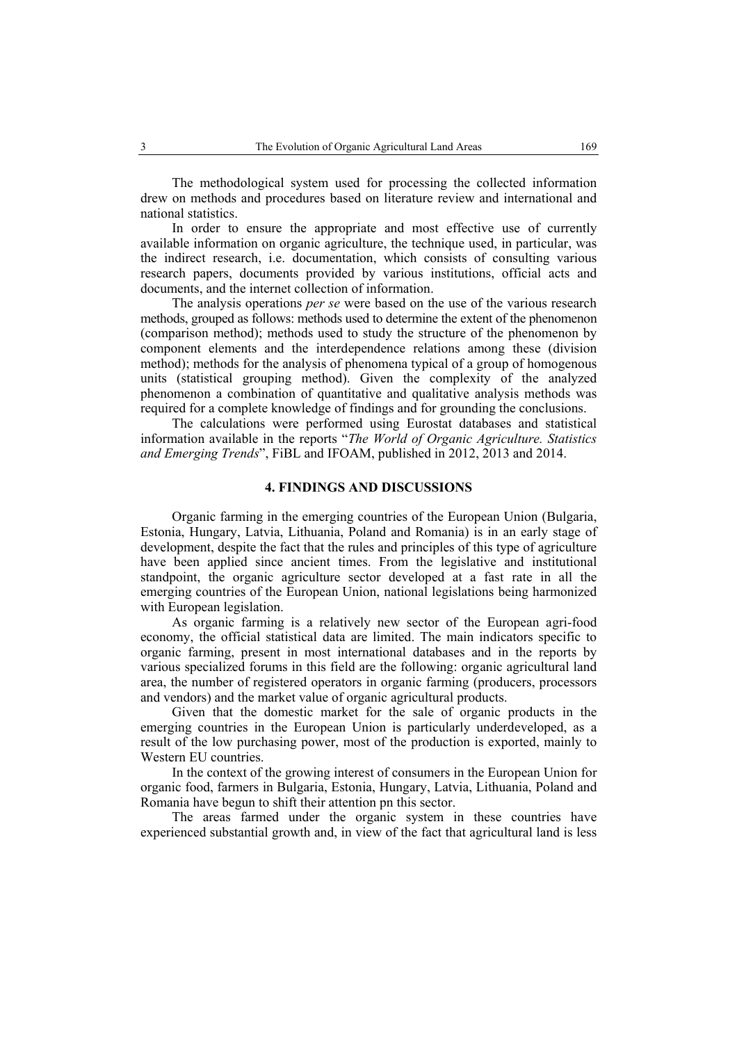The methodological system used for processing the collected information drew on methods and procedures based on literature review and international and national statistics.

In order to ensure the appropriate and most effective use of currently available information on organic agriculture, the technique used, in particular, was the indirect research, i.e. documentation, which consists of consulting various research papers, documents provided by various institutions, official acts and documents, and the internet collection of information.

The analysis operations *per se* were based on the use of the various research methods, grouped as follows: methods used to determine the extent of the phenomenon (comparison method); methods used to study the structure of the phenomenon by component elements and the interdependence relations among these (division method); methods for the analysis of phenomena typical of a group of homogenous units (statistical grouping method). Given the complexity of the analyzed phenomenon a combination of quantitative and qualitative analysis methods was required for a complete knowledge of findings and for grounding the conclusions.

The calculations were performed using Eurostat databases and statistical information available in the reports "*The World of Organic Agriculture. Statistics and Emerging Trends*", FiBL and IFOAM, published in 2012, 2013 and 2014.

## **4. FINDINGS AND DISCUSSIONS**

Organic farming in the emerging countries of the European Union (Bulgaria, Estonia, Hungary, Latvia, Lithuania, Poland and Romania) is in an early stage of development, despite the fact that the rules and principles of this type of agriculture have been applied since ancient times. From the legislative and institutional standpoint, the organic agriculture sector developed at a fast rate in all the emerging countries of the European Union, national legislations being harmonized with European legislation.

As organic farming is a relatively new sector of the European agri-food economy, the official statistical data are limited. The main indicators specific to organic farming, present in most international databases and in the reports by various specialized forums in this field are the following: organic agricultural land area, the number of registered operators in organic farming (producers, processors and vendors) and the market value of organic agricultural products.

Given that the domestic market for the sale of organic products in the emerging countries in the European Union is particularly underdeveloped, as a result of the low purchasing power, most of the production is exported, mainly to Western EU countries.

In the context of the growing interest of consumers in the European Union for organic food, farmers in Bulgaria, Estonia, Hungary, Latvia, Lithuania, Poland and Romania have begun to shift their attention pn this sector.

The areas farmed under the organic system in these countries have experienced substantial growth and, in view of the fact that agricultural land is less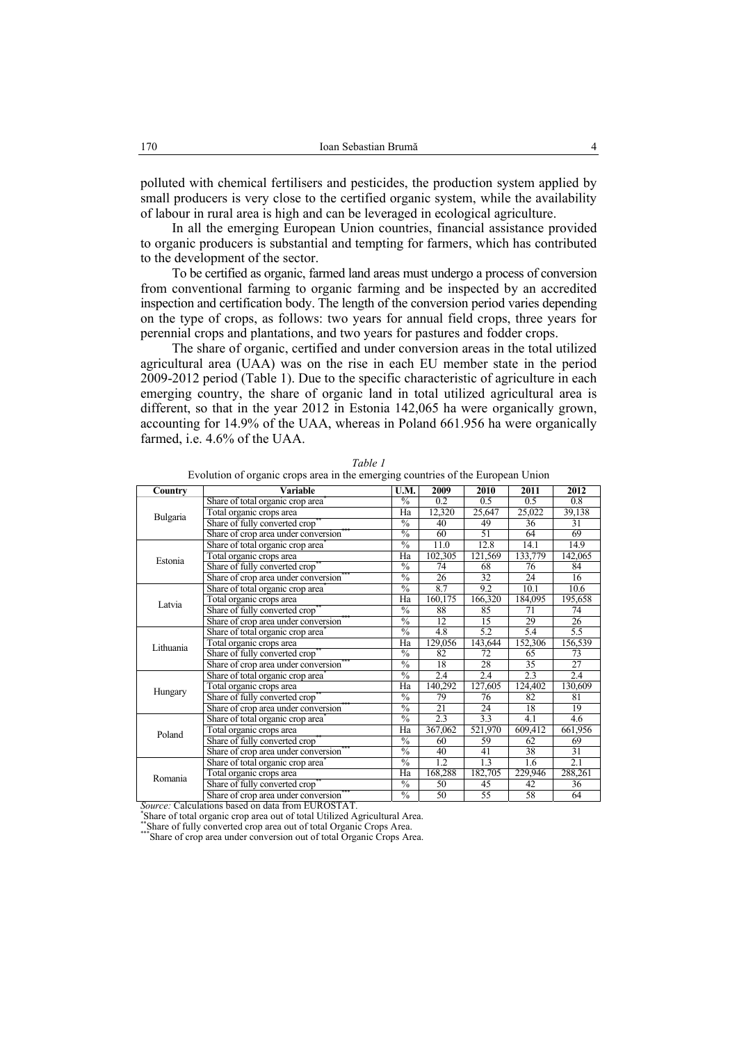polluted with chemical fertilisers and pesticides, the production system applied by small producers is very close to the certified organic system, while the availability of labour in rural area is high and can be leveraged in ecological agriculture.

In all the emerging European Union countries, financial assistance provided to organic producers is substantial and tempting for farmers, which has contributed to the development of the sector.

To be certified as organic, farmed land areas must undergo a process of conversion from conventional farming to organic farming and be inspected by an accredited inspection and certification body. The length of the conversion period varies depending on the type of crops, as follows: two years for annual field crops, three years for perennial crops and plantations, and two years for pastures and fodder crops.

The share of organic, certified and under conversion areas in the total utilized agricultural area (UAA) was on the rise in each EU member state in the period 2009-2012 period (Table 1). Due to the specific characteristic of agriculture in each emerging country, the share of organic land in total utilized agricultural area is different, so that in the year 2012 in Estonia 142,065 ha were organically grown, accounting for 14.9% of the UAA, whereas in Poland 661.956 ha were organically farmed, i.e. 4.6% of the UAA.

| Country   | <b>Variable</b>                               |               | 2009              | 2010    | 2011             | 2012            |
|-----------|-----------------------------------------------|---------------|-------------------|---------|------------------|-----------------|
|           | Share of total organic crop area              | $\frac{0}{0}$ | 0.2               | 0.5     | 0.5              | 0.8             |
| Bulgaria  | Total organic crops area                      | Ha            | 12,320            | 25,647  | 25,022           | 39,138          |
|           | Share of fully converted crop <sup>®</sup>    | $\frac{0}{0}$ | 40                | 49      | 36               | 31              |
|           | Share of crop area under conversion           | $\frac{0}{0}$ | 60                | 51      | 64               | 69              |
|           | Share of total organic crop area <sup>7</sup> | $\frac{0}{0}$ | $\overline{11.0}$ | 12.8    | 14.1             | 14.9            |
| Estonia   | Total organic crops area                      | Ha            | 102,305           | 121,569 | 133,779          | 142,065         |
|           | Share of fully converted crop <sup>®</sup>    | $\frac{0}{0}$ | 74                | 68      | 76               | 84              |
|           | Share of crop area under conversion           | $\frac{0}{0}$ | $\overline{26}$   | 32      | $\overline{24}$  | 16              |
|           | Share of total organic crop area <sup>+</sup> | $\frac{0}{0}$ | 8.7               | 9.2     | 10.1             | 10.6            |
| Latvia    | Total organic crops area                      | Ha            | 160,175           | 166,320 | 184,095          | 195,658         |
|           | Share of fully converted crop                 | $\frac{0}{0}$ | 88                | 85      | 71               | 74              |
|           | Share of crop area under conversion           | $\frac{0}{0}$ | 12                | 15      | 29               | 26              |
|           | Share of total organic crop area <sup>7</sup> | $\frac{0}{0}$ | 4.8               | 5.2     | 5.4              | 5.5             |
| Lithuania | Total organic crops area                      | Ha            | 129,056           | 143,644 | 152,306          | 156,539         |
|           | Share of fully converted crop                 | $\frac{0}{0}$ | 82                | 72      | 65               | 73              |
|           | Share of crop area under conversion           | $\frac{0}{0}$ | 18                | 28      | $\overline{35}$  | $\overline{27}$ |
|           | Share of total organic crop area              | $\frac{0}{0}$ | 2.4               | 2.4     | 2.3              | 2.4             |
| Hungary   | Total organic crops area                      | Ha            | 140,292           | 127,605 | 124,402          | 130,609         |
|           | Share of fully converted crop <sup>®</sup>    | $\frac{0}{0}$ | 79                | 76      | 82               | 81              |
|           | Share of crop area under conversion           |               | 21                | 24      | 18               | 19              |
|           | Share of total organic crop area              | $\frac{0}{0}$ | 2.3               | 3.3     | 4.1              | 4.6             |
| Poland    | Total organic crops area                      | Ha            | 367,062           | 521,970 | 609,412          | 661,956         |
|           | Share of fully converted crop                 | $\frac{0}{0}$ | 60                | 59      | 62               | 69              |
|           | Share of crop area under conversion           | $\frac{0}{0}$ | 40                | 41      | 38               | 31              |
|           | Share of total organic crop area <sup>*</sup> | $\frac{0}{0}$ | 1.2               | 1.3     | $\overline{1.6}$ | 2.1             |
| Romania   | Total organic crops area                      | Ha            | 168,288           | 182,705 | 229,946          | 288,261         |
|           | Share of fully converted crop®                | $\frac{0}{0}$ | 50                | 45      | 42               | 36              |
|           | Share of crop area under conversion           | $\frac{0}{0}$ | 50                | 55      | 58               | 64              |

*Table 1*  Evolution of organic crops area in the emerging countries of the European Union

*Source:* Calculations based on data from EUROSTAT. \*

Share of total organic crop area out of total Utilized Agricultural Area. \*\*Share of fully converted crop area out of total Organic Crops Area. \*\*\*Share of crop area under conversion out of total Organic Crops Area.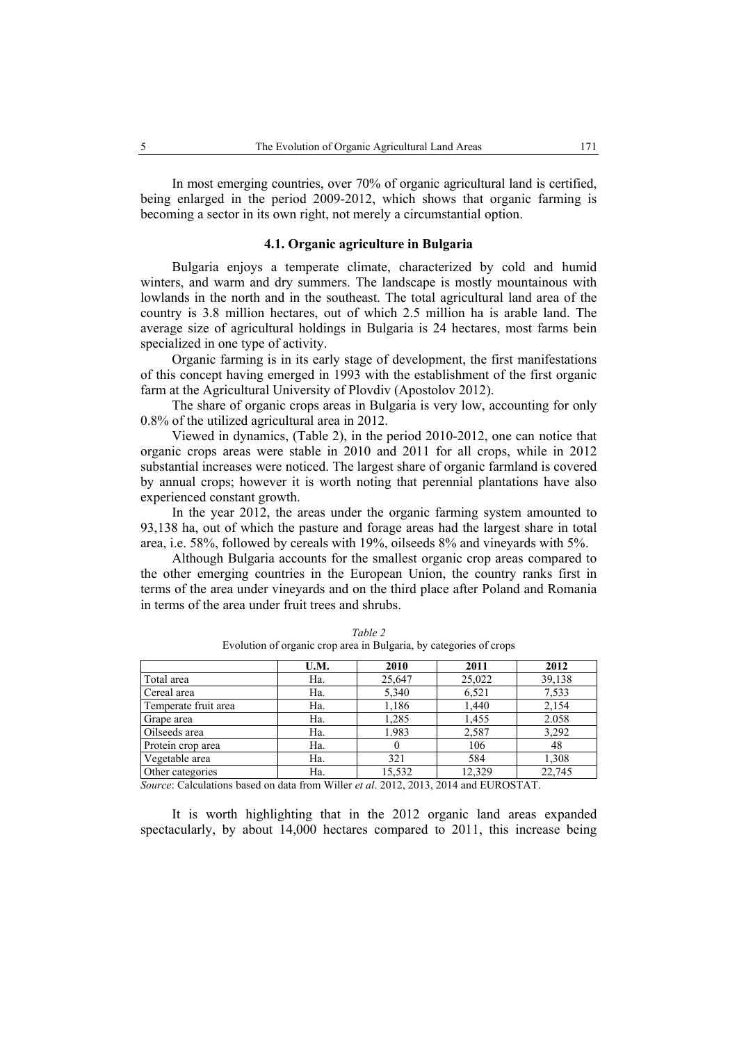In most emerging countries, over 70% of organic agricultural land is certified, being enlarged in the period 2009-2012, which shows that organic farming is becoming a sector in its own right, not merely a circumstantial option.

## **4.1. Organic agriculture in Bulgaria**

Bulgaria enjoys a temperate climate, characterized by cold and humid winters, and warm and dry summers. The landscape is mostly mountainous with lowlands in the north and in the southeast. The total agricultural land area of the country is 3.8 million hectares, out of which 2.5 million ha is arable land. The average size of agricultural holdings in Bulgaria is 24 hectares, most farms bein specialized in one type of activity.

Organic farming is in its early stage of development, the first manifestations of this concept having emerged in 1993 with the establishment of the first organic farm at the Agricultural University of Plovdiv (Apostolov 2012).

The share of organic crops areas in Bulgaria is very low, accounting for only 0.8% of the utilized agricultural area in 2012.

Viewed in dynamics, (Table 2), in the period 2010-2012, one can notice that organic crops areas were stable in 2010 and 2011 for all crops, while in 2012 substantial increases were noticed. The largest share of organic farmland is covered by annual crops; however it is worth noting that perennial plantations have also experienced constant growth.

In the year 2012, the areas under the organic farming system amounted to 93,138 ha, out of which the pasture and forage areas had the largest share in total area, i.e. 58%, followed by cereals with 19%, oilseeds 8% and vineyards with 5%.

Although Bulgaria accounts for the smallest organic crop areas compared to the other emerging countries in the European Union, the country ranks first in terms of the area under vineyards and on the third place after Poland and Romania in terms of the area under fruit trees and shrubs.

| U.M. | 2010   | 2011   | 2012   |
|------|--------|--------|--------|
| Ha.  | 25,647 | 25,022 | 39,138 |
| Ha.  | 5,340  | 6,521  | 7,533  |
| Ha.  | 1,186  | 1,440  | 2,154  |
| Ha.  | 1,285  | 1,455  | 2.058  |
| Ha.  | 1.983  | 2,587  | 3,292  |
| Ha.  | 0      | 106    | 48     |
| Ha.  | 321    | 584    | 1,308  |
| Ha.  | 15,532 | 12.329 | 22,745 |
|      |        |        |        |

*Table 2*  Evolution of organic crop area in Bulgaria, by categories of crops

*Source*: Calculations based on data from Willer *et al*. 2012, 2013, 2014 and EUROSTAT.

It is worth highlighting that in the 2012 organic land areas expanded spectacularly, by about 14,000 hectares compared to 2011, this increase being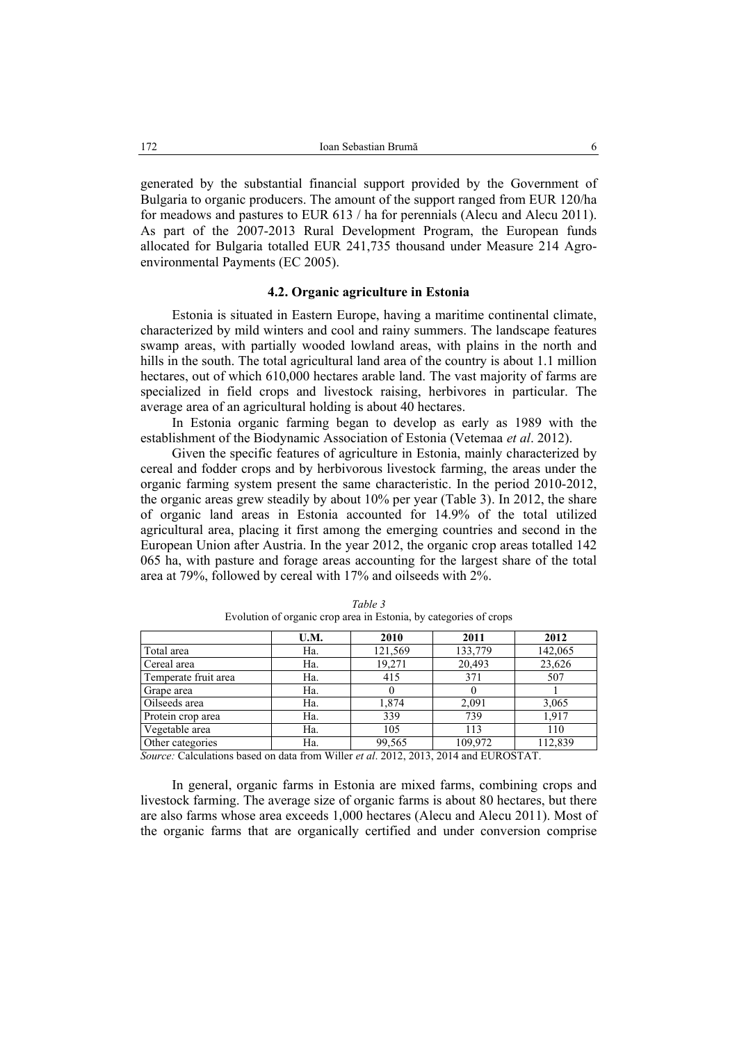generated by the substantial financial support provided by the Government of Bulgaria to organic producers. The amount of the support ranged from EUR 120/ha for meadows and pastures to EUR 613 / ha for perennials (Alecu and Alecu 2011). As part of the 2007-2013 Rural Development Program, the European funds allocated for Bulgaria totalled EUR 241,735 thousand under Measure 214 Agroenvironmental Payments (EC 2005).

# **4.2. Organic agriculture in Estonia**

Estonia is situated in Eastern Europe, having a maritime continental climate, characterized by mild winters and cool and rainy summers. The landscape features swamp areas, with partially wooded lowland areas, with plains in the north and hills in the south. The total agricultural land area of the country is about 1.1 million hectares, out of which 610,000 hectares arable land. The vast majority of farms are specialized in field crops and livestock raising, herbivores in particular. The average area of an agricultural holding is about 40 hectares.

In Estonia organic farming began to develop as early as 1989 with the establishment of the Biodynamic Association of Estonia (Vetemaa *et al*. 2012).

Given the specific features of agriculture in Estonia, mainly characterized by cereal and fodder crops and by herbivorous livestock farming, the areas under the organic farming system present the same characteristic. In the period 2010-2012, the organic areas grew steadily by about 10% per year (Table 3). In 2012, the share of organic land areas in Estonia accounted for 14.9% of the total utilized agricultural area, placing it first among the emerging countries and second in the European Union after Austria. In the year 2012, the organic crop areas totalled 142 065 ha, with pasture and forage areas accounting for the largest share of the total area at 79%, followed by cereal with 17% and oilseeds with 2%.

|                      | U.M. | 2010    | 2011    | 2012    |
|----------------------|------|---------|---------|---------|
| Total area           | Ha.  | 121,569 | 133,779 | 142,065 |
| Cereal area          | Ha.  | 19,271  | 20,493  | 23,626  |
| Temperate fruit area | Ha.  | 415     | 371     | 507     |
| Grape area           | Ha.  |         |         |         |
| Oilseeds area        | Ha.  | 1,874   | 2,091   | 3,065   |
| Protein crop area    | Ha.  | 339     | 739     | 1,917   |
| Vegetable area       | Ha.  | 105     | 113     | 110     |
| Other categories     | Ha.  | 99,565  | 109,972 | 112,839 |

*Table 3*  Evolution of organic crop area in Estonia, by categories of crops

*Source:* Calculations based on data from Willer *et al*. 2012, 2013, 2014 and EUROSTAT.

In general, organic farms in Estonia are mixed farms, combining crops and livestock farming. The average size of organic farms is about 80 hectares, but there are also farms whose area exceeds 1,000 hectares (Alecu and Alecu 2011). Most of the organic farms that are organically certified and under conversion comprise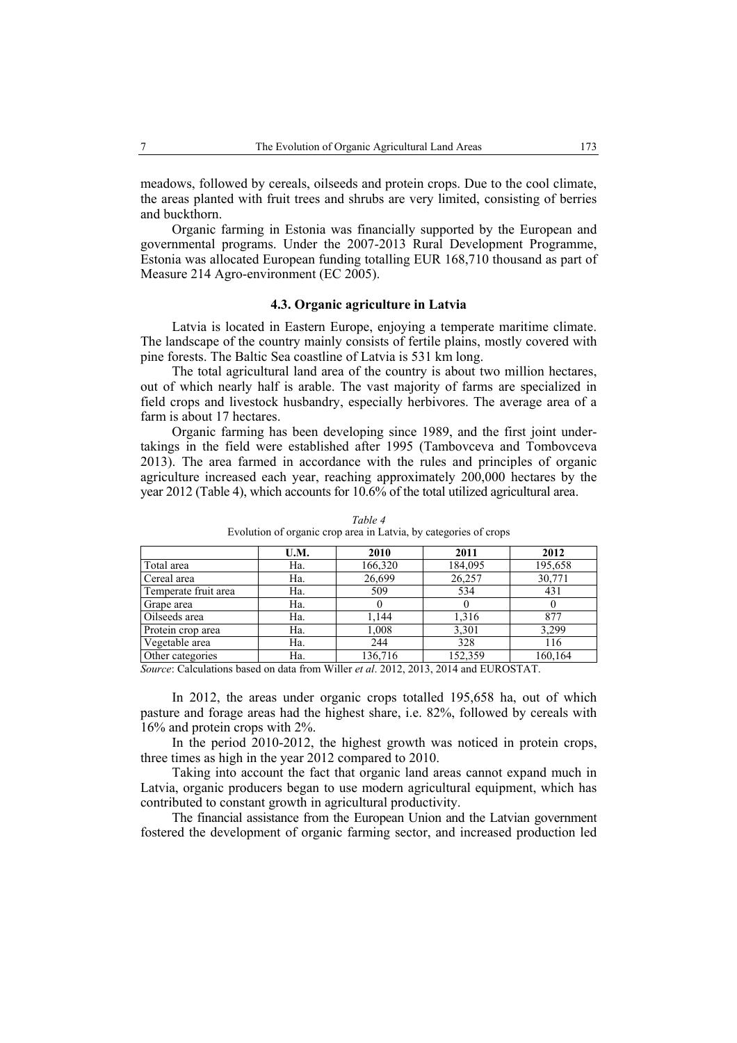meadows, followed by cereals, oilseeds and protein crops. Due to the cool climate, the areas planted with fruit trees and shrubs are very limited, consisting of berries and buckthorn.

Organic farming in Estonia was financially supported by the European and governmental programs. Under the 2007-2013 Rural Development Programme, Estonia was allocated European funding totalling EUR 168,710 thousand as part of Measure 214 Agro-environment (EC 2005).

## **4.3. Organic agriculture in Latvia**

Latvia is located in Eastern Europe, enjoying a temperate maritime climate. The landscape of the country mainly consists of fertile plains, mostly covered with pine forests. The Baltic Sea coastline of Latvia is 531 km long.

The total agricultural land area of the country is about two million hectares, out of which nearly half is arable. The vast majority of farms are specialized in field crops and livestock husbandry, especially herbivores. The average area of a farm is about 17 hectares.

Organic farming has been developing since 1989, and the first joint undertakings in the field were established after 1995 (Tambovceva and Tombovceva 2013). The area farmed in accordance with the rules and principles of organic agriculture increased each year, reaching approximately 200,000 hectares by the year 2012 (Table 4), which accounts for 10.6% of the total utilized agricultural area.

|                      | U.M. | 2010    | 2011    | 2012    |
|----------------------|------|---------|---------|---------|
| Total area           | Ha.  | 166,320 | 184,095 | 195,658 |
| Cereal area          | Ha.  | 26,699  | 26,257  | 30,771  |
| Temperate fruit area | Ha.  | 509     | 534     | 431     |
| Grape area           | Ha.  |         |         |         |
| Oilseeds area        | Ha.  | 1.144   | 1,316   | 877     |
| Protein crop area    | Ha.  | 1,008   | 3,301   | 3,299   |
| Vegetable area       | Ha.  | 244     | 328     | 116     |
| Other categories     | Ha.  | 136,716 | 152,359 | 160,164 |

*Table 4*  Evolution of organic crop area in Latvia, by categories of crops

*Source*: Calculations based on data from Willer *et al*. 2012, 2013, 2014 and EUROSTAT.

In 2012, the areas under organic crops totalled 195,658 ha, out of which pasture and forage areas had the highest share, i.e. 82%, followed by cereals with 16% and protein crops with 2%.

In the period 2010-2012, the highest growth was noticed in protein crops, three times as high in the year 2012 compared to 2010.

Taking into account the fact that organic land areas cannot expand much in Latvia, organic producers began to use modern agricultural equipment, which has contributed to constant growth in agricultural productivity.

The financial assistance from the European Union and the Latvian government fostered the development of organic farming sector, and increased production led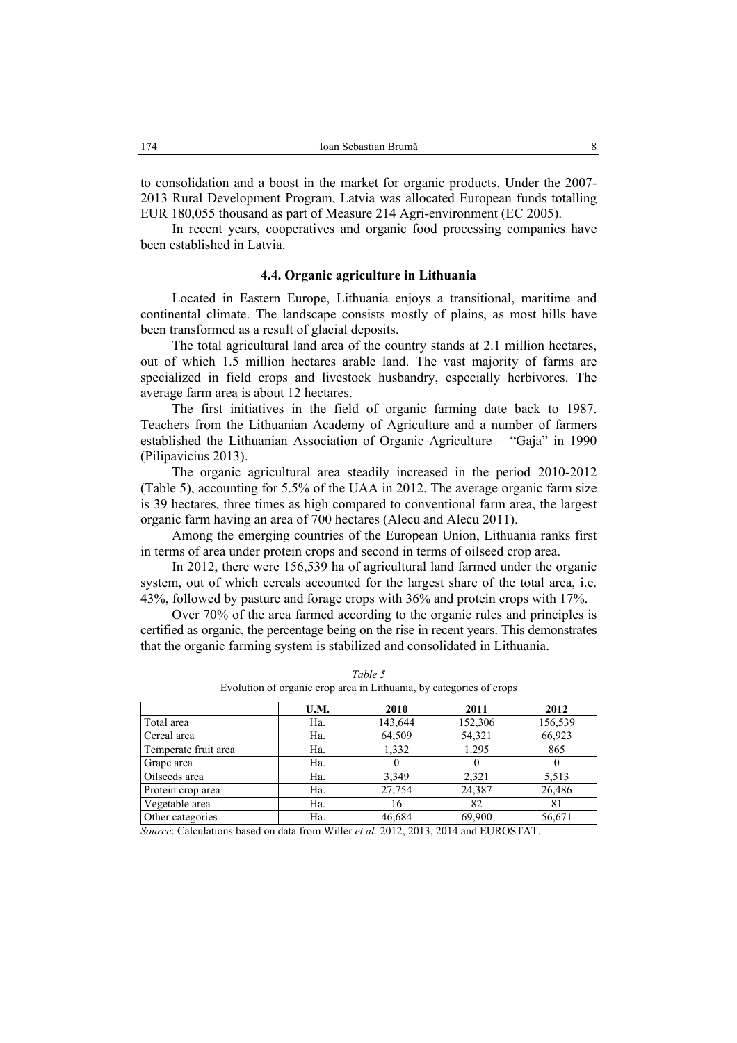to consolidation and a boost in the market for organic products. Under the 2007- 2013 Rural Development Program, Latvia was allocated European funds totalling EUR 180,055 thousand as part of Measure 214 Agri-environment (EC 2005).

In recent years, cooperatives and organic food processing companies have been established in Latvia.

## **4.4. Organic agriculture in Lithuania**

Located in Eastern Europe, Lithuania enjoys a transitional, maritime and continental climate. The landscape consists mostly of plains, as most hills have been transformed as a result of glacial deposits.

The total agricultural land area of the country stands at 2.1 million hectares, out of which 1.5 million hectares arable land. The vast majority of farms are specialized in field crops and livestock husbandry, especially herbivores. The average farm area is about 12 hectares.

The first initiatives in the field of organic farming date back to 1987. Teachers from the Lithuanian Academy of Agriculture and a number of farmers established the Lithuanian Association of Organic Agriculture – "Gaja" in 1990 (Pilipavicius 2013).

The organic agricultural area steadily increased in the period 2010-2012 (Table 5), accounting for 5.5% of the UAA in 2012. The average organic farm size is 39 hectares, three times as high compared to conventional farm area, the largest organic farm having an area of 700 hectares (Alecu and Alecu 2011).

Among the emerging countries of the European Union, Lithuania ranks first in terms of area under protein crops and second in terms of oilseed crop area.

In 2012, there were 156,539 ha of agricultural land farmed under the organic system, out of which cereals accounted for the largest share of the total area, i.e. 43%, followed by pasture and forage crops with 36% and protein crops with 17%.

Over 70% of the area farmed according to the organic rules and principles is certified as organic, the percentage being on the rise in recent years. This demonstrates that the organic farming system is stabilized and consolidated in Lithuania.

|                      | U.M. | 2010    | 2011    | 2012    |
|----------------------|------|---------|---------|---------|
| Total area           | Ha.  | 143,644 | 152,306 | 156,539 |
| Cereal area          | Ha.  | 64,509  | 54,321  | 66,923  |
| Temperate fruit area | Ha.  | 1,332   | 1.295   | 865     |
| Grape area           | Ha.  |         |         |         |
| Oilseeds area        | Ha.  | 3,349   | 2,321   | 5,513   |
| Protein crop area    | Ha.  | 27,754  | 24,387  | 26,486  |
| Vegetable area       | Ha.  | 16      | 82      | 81      |
| Other categories     | Ha.  | 46,684  | 69,900  | 56,671  |

*Table 5*  Evolution of organic crop area in Lithuania, by categories of crops

*Source*: Calculations based on data from Willer *et al.* 2012, 2013, 2014 and EUROSTAT.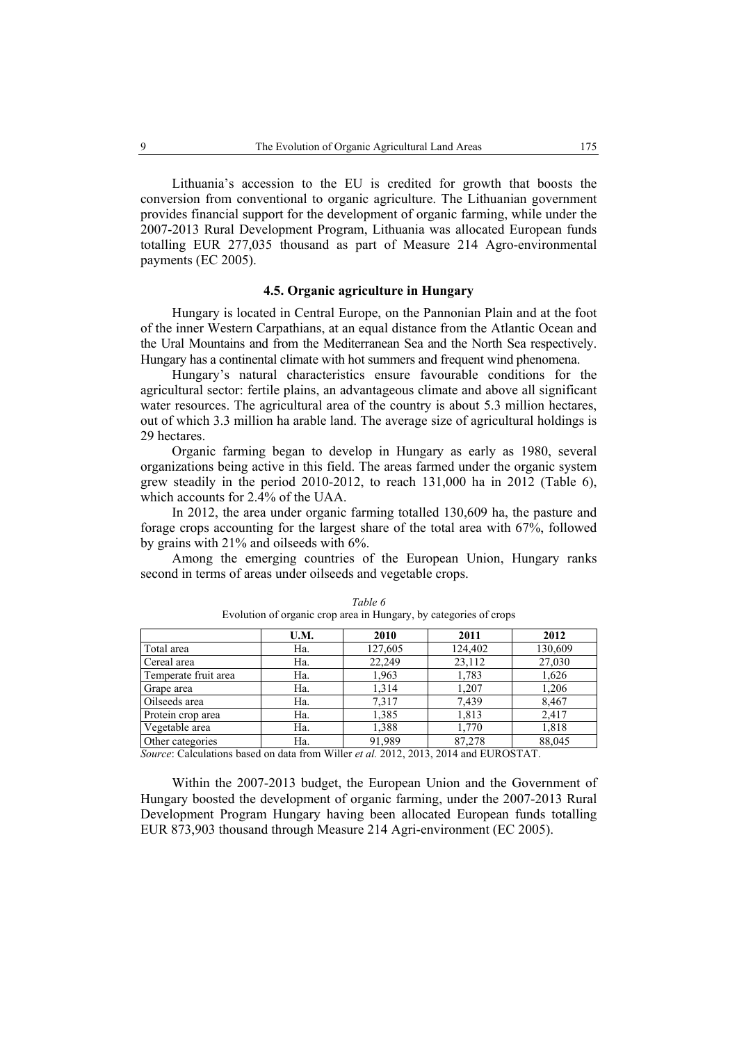Lithuania's accession to the EU is credited for growth that boosts the conversion from conventional to organic agriculture. The Lithuanian government provides financial support for the development of organic farming, while under the 2007-2013 Rural Development Program, Lithuania was allocated European funds totalling EUR 277,035 thousand as part of Measure 214 Agro-environmental payments (EC 2005).

# **4.5. Organic agriculture in Hungary**

Hungary is located in Central Europe, on the Pannonian Plain and at the foot of the inner Western Carpathians, at an equal distance from the Atlantic Ocean and the Ural Mountains and from the Mediterranean Sea and the North Sea respectively. Hungary has a continental climate with hot summers and frequent wind phenomena.

Hungary's natural characteristics ensure favourable conditions for the agricultural sector: fertile plains, an advantageous climate and above all significant water resources. The agricultural area of the country is about 5.3 million hectares, out of which 3.3 million ha arable land. The average size of agricultural holdings is 29 hectares.

Organic farming began to develop in Hungary as early as 1980, several organizations being active in this field. The areas farmed under the organic system grew steadily in the period  $2010-2012$ , to reach  $131,000$  ha in  $2012$  (Table 6), which accounts for 2.4% of the UAA.

In 2012, the area under organic farming totalled 130,609 ha, the pasture and forage crops accounting for the largest share of the total area with 67%, followed by grains with 21% and oilseeds with 6%.

Among the emerging countries of the European Union, Hungary ranks second in terms of areas under oilseeds and vegetable crops.

|                      | U.M. | 2010    | 2011    | 2012    |
|----------------------|------|---------|---------|---------|
| Total area           | Ha.  | 127,605 | 124,402 | 130,609 |
| Cereal area          | Ha.  | 22,249  | 23,112  | 27,030  |
| Temperate fruit area | Ha.  | 1,963   | 1,783   | 1,626   |
| Grape area           | Ha.  | 1,314   | 1,207   | 1,206   |
| Oilseeds area        | Ha.  | 7,317   | 7,439   | 8,467   |
| Protein crop area    | Ha.  | 1,385   | 1,813   | 2,417   |
| Vegetable area       | Ha.  | 1,388   | 1,770   | 1,818   |
| Other categories     | Ha.  | 91,989  | 87,278  | 88,045  |

*Table 6*  Evolution of organic crop area in Hungary, by categories of crops

*Source*: Calculations based on data from Willer *et al.* 2012, 2013, 2014 and EUROSTAT.

Within the 2007-2013 budget, the European Union and the Government of Hungary boosted the development of organic farming, under the 2007-2013 Rural Development Program Hungary having been allocated European funds totalling EUR 873,903 thousand through Measure 214 Agri-environment (EC 2005).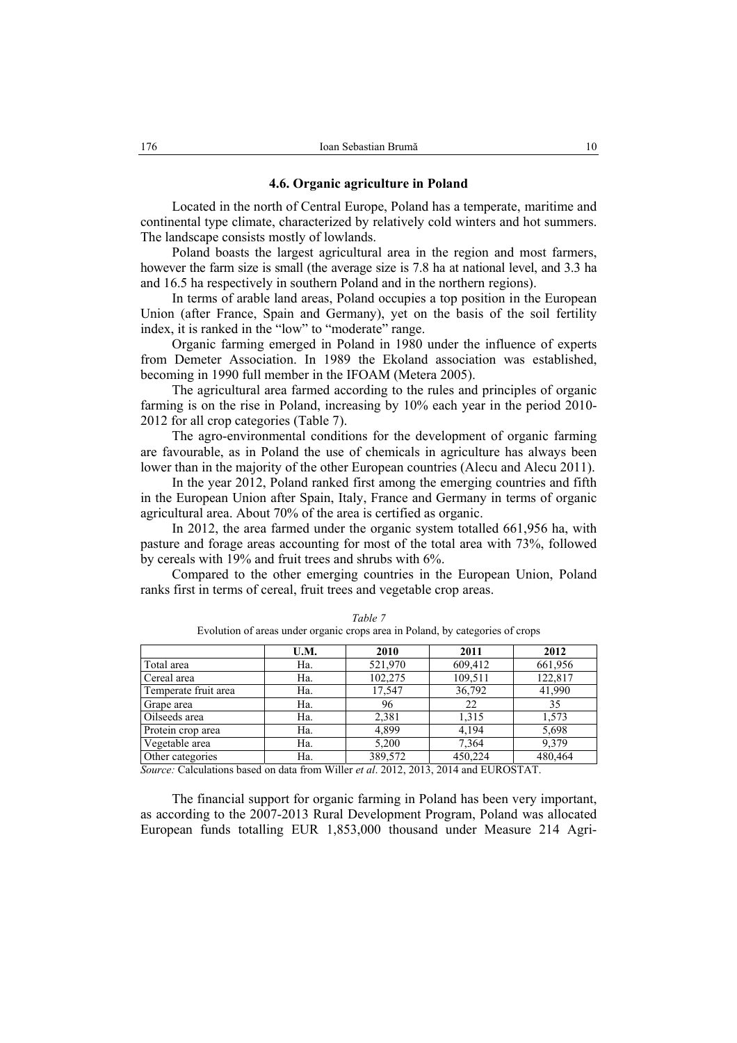## **4.6. Organic agriculture in Poland**

Located in the north of Central Europe, Poland has a temperate, maritime and continental type climate, characterized by relatively cold winters and hot summers. The landscape consists mostly of lowlands.

Poland boasts the largest agricultural area in the region and most farmers, however the farm size is small (the average size is 7.8 ha at national level, and 3.3 ha and 16.5 ha respectively in southern Poland and in the northern regions).

In terms of arable land areas, Poland occupies a top position in the European Union (after France, Spain and Germany), yet on the basis of the soil fertility index, it is ranked in the "low" to "moderate" range.

Organic farming emerged in Poland in 1980 under the influence of experts from Demeter Association. In 1989 the Ekoland association was established, becoming in 1990 full member in the IFOAM (Metera 2005).

The agricultural area farmed according to the rules and principles of organic farming is on the rise in Poland, increasing by 10% each year in the period 2010- 2012 for all crop categories (Table 7).

The agro-environmental conditions for the development of organic farming are favourable, as in Poland the use of chemicals in agriculture has always been lower than in the majority of the other European countries (Alecu and Alecu 2011).

In the year 2012, Poland ranked first among the emerging countries and fifth in the European Union after Spain, Italy, France and Germany in terms of organic agricultural area. About 70% of the area is certified as organic.

In 2012, the area farmed under the organic system totalled 661,956 ha, with pasture and forage areas accounting for most of the total area with 73%, followed by cereals with 19% and fruit trees and shrubs with 6%.

Compared to the other emerging countries in the European Union, Poland ranks first in terms of cereal, fruit trees and vegetable crop areas.

|                      | U.M. | 2010    | 2011    | 2012    |
|----------------------|------|---------|---------|---------|
| Total area           | Ha.  | 521,970 | 609,412 | 661,956 |
| Cereal area          | Ha.  | 102,275 | 109,511 | 122,817 |
| Temperate fruit area | Ha.  | 17,547  | 36,792  | 41,990  |
| Grape area           | Ha.  | 96      | 22      | 35      |
| Oilseeds area        | Ha.  | 2,381   | 1,315   | 1,573   |
| Protein crop area    | Ha.  | 4,899   | 4,194   | 5,698   |
| Vegetable area       | Ha.  | 5,200   | 7,364   | 9,379   |
| Other categories     | Ha.  | 389,572 | 450,224 | 480,464 |

*Table 7*  Evolution of areas under organic crops area in Poland, by categories of crops

*Source:* Calculations based on data from Willer *et al*. 2012, 2013, 2014 and EUROSTAT.

The financial support for organic farming in Poland has been very important, as according to the 2007-2013 Rural Development Program, Poland was allocated European funds totalling EUR 1,853,000 thousand under Measure 214 Agri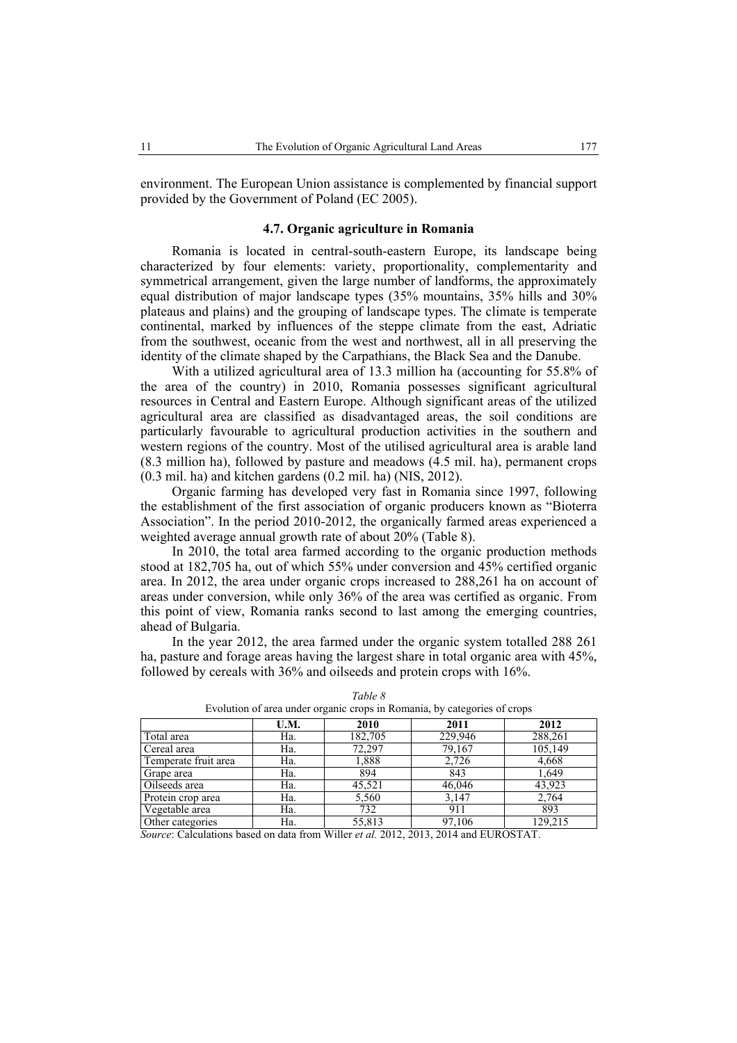environment. The European Union assistance is complemented by financial support provided by the Government of Poland (EC 2005).

## **4.7. Organic agriculture in Romania**

Romania is located in central-south-eastern Europe, its landscape being characterized by four elements: variety, proportionality, complementarity and symmetrical arrangement, given the large number of landforms, the approximately equal distribution of major landscape types (35% mountains, 35% hills and 30% plateaus and plains) and the grouping of landscape types. The climate is temperate continental, marked by influences of the steppe climate from the east, Adriatic from the southwest, oceanic from the west and northwest, all in all preserving the identity of the climate shaped by the Carpathians, the Black Sea and the Danube.

With a utilized agricultural area of 13.3 million ha (accounting for 55.8% of the area of the country) in 2010, Romania possesses significant agricultural resources in Central and Eastern Europe. Although significant areas of the utilized agricultural area are classified as disadvantaged areas, the soil conditions are particularly favourable to agricultural production activities in the southern and western regions of the country. Most of the utilised agricultural area is arable land (8.3 million ha), followed by pasture and meadows (4.5 mil. ha), permanent crops (0.3 mil. ha) and kitchen gardens (0.2 mil. ha) (NIS, 2012).

Organic farming has developed very fast in Romania since 1997, following the establishment of the first association of organic producers known as "Bioterra Association". In the period 2010-2012, the organically farmed areas experienced a weighted average annual growth rate of about 20% (Table 8).

In 2010, the total area farmed according to the organic production methods stood at 182,705 ha, out of which 55% under conversion and 45% certified organic area. In 2012, the area under organic crops increased to 288,261 ha on account of areas under conversion, while only 36% of the area was certified as organic. From this point of view, Romania ranks second to last among the emerging countries, ahead of Bulgaria.

In the year 2012, the area farmed under the organic system totalled 288 261 ha, pasture and forage areas having the largest share in total organic area with 45%, followed by cereals with 36% and oilseeds and protein crops with 16%.

| Eventuon of them under organic crops in reomaina, oy categories of crops |      |         |         |         |  |  |
|--------------------------------------------------------------------------|------|---------|---------|---------|--|--|
|                                                                          | U.M. | 2010    | 2011    | 2012    |  |  |
| Total area                                                               | Ha.  | 182,705 | 229,946 | 288,261 |  |  |
| Cereal area                                                              | Ha.  | 72,297  | 79,167  | 105,149 |  |  |
| Temperate fruit area                                                     | Ha.  | 1,888   | 2,726   | 4,668   |  |  |
| Grape area                                                               | Ha.  | 894     | 843     | 1,649   |  |  |
| Oilseeds area                                                            | Ha.  | 45,521  | 46,046  | 43,923  |  |  |
| Protein crop area                                                        | Ha.  | 5,560   | 3,147   | 2,764   |  |  |
| Vegetable area                                                           | Ha.  | 732     | 911     | 893     |  |  |
| Other categories                                                         | Ha.  | 55,813  | 97,106  | 129,215 |  |  |

*Table 8* 

| Evolution of area under organic crops in Romania, by categories of crops |  |  |  |
|--------------------------------------------------------------------------|--|--|--|

*Source*: Calculations based on data from Willer *et al.* 2012, 2013, 2014 and EUROSTAT.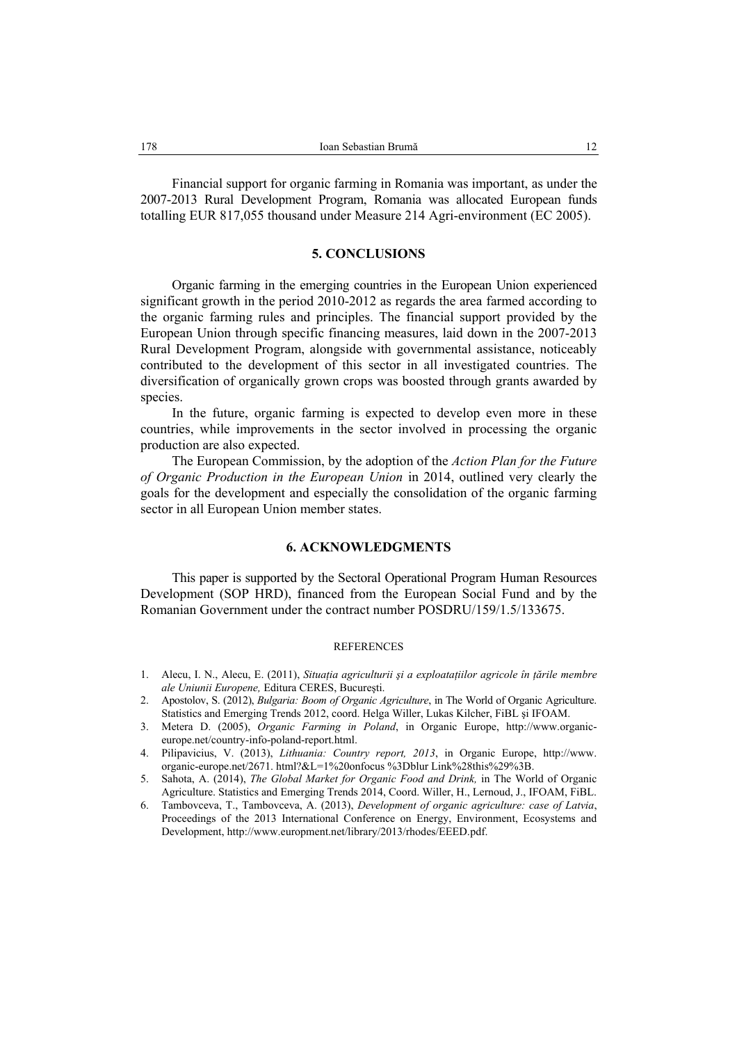Financial support for organic farming in Romania was important, as under the 2007-2013 Rural Development Program, Romania was allocated European funds totalling EUR 817,055 thousand under Measure 214 Agri-environment (EC 2005).

#### **5. CONCLUSIONS**

Organic farming in the emerging countries in the European Union experienced significant growth in the period 2010-2012 as regards the area farmed according to the organic farming rules and principles. The financial support provided by the European Union through specific financing measures, laid down in the 2007-2013 Rural Development Program, alongside with governmental assistance, noticeably contributed to the development of this sector in all investigated countries. The diversification of organically grown crops was boosted through grants awarded by species.

In the future, organic farming is expected to develop even more in these countries, while improvements in the sector involved in processing the organic production are also expected.

The European Commission, by the adoption of the *Action Plan for the Future of Organic Production in the European Union* in 2014, outlined very clearly the goals for the development and especially the consolidation of the organic farming sector in all European Union member states.

## **6. ACKNOWLEDGMENTS**

This paper is supported by the Sectoral Operational Program Human Resources Development (SOP HRD), financed from the European Social Fund and by the Romanian Government under the contract number POSDRU/159/1.5/133675.

#### **REFERENCES**

- 1. Alecu, I. N., Alecu, E. (2011), *Situatia agriculturii și a exploatatiilor agricole în tările membre ale Uniunii Europene,* Editura CERES, Bucureşti.
- 2. Apostolov, S. (2012), *Bulgaria: Boom of Organic Agriculture*, in The World of Organic Agriculture. Statistics and Emerging Trends 2012, coord. Helga Willer, Lukas Kilcher, FiBL şi IFOAM.
- 3. Metera D. (2005), *Organic Farming in Poland*, in Organic Europe, http://www.organiceurope.net/country-info-poland-report.html.
- 4. Pilipavicius, V. (2013), *Lithuania: Country report, 2013*, in Organic Europe, http://www. organic-europe.net/2671. html?&L=1%20onfocus %3Dblur Link%28this%29%3B.
- 5. Sahota, A. (2014), *The Global Market for Organic Food and Drink,* in The World of Organic Agriculture. Statistics and Emerging Trends 2014, Coord. Willer, H., Lernoud, J., IFOAM, FiBL.
- 6. Tambovceva, T., Tambovceva, A. (2013), *Development of organic agriculture: case of Latvia*, Proceedings of the 2013 International Conference on Energy, Environment, Ecosystems and Development, http://www.europment.net/library/2013/rhodes/EEED.pdf.